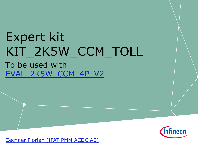# Expert kit KIT\_2K5W\_CCM\_TOLL To be used with [EVAL\\_2K5W\\_CCM\\_4P\\_V2](https://www.infineon.com/cms/de/product/evaluation-boards/EVAL_2K5W_CCM_4P_V2/productType.html?productType=5546d4625c167129015c1b8a04a665db)



[Zechner Florian \(IFAT PMM ACDC AE\)](mailto:Florian.Zechner@infineon.com?subject=EVAL_600W_12V_LLC_C7)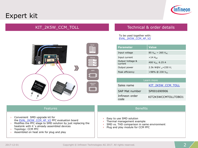## Expert kit



### KIT\_2K5W\_CCM\_TOLL



#### Technical & order details

To be used together with: [EVAL\\_2K5W\\_CCM\\_4P\\_V2](https://www.infineon.com/cms/de/product/evaluation-boards/eval_2k5w_ccm_4p_v2/)

| <b>Parameter</b>            | <b>Value</b>               |
|-----------------------------|----------------------------|
| Input voltage               | 85 $V_{AC}$ ~ 265 $V_{AC}$ |
| Input current               | $<$ 14 A <sub>eff</sub>    |
| Output Voltage &<br>current | 400 $V_{DC}$ 6.25 A        |
| Output power                | 2.5k W@V $_{in}$ =230 V;   |
| Peak efficiency             | >98% @ 230 $V_{AC}$        |

| Learn more             |                     |  |
|------------------------|---------------------|--|
| Sales name             | KIT 2K5W CCM TOLL   |  |
| SAP Mat number         | SP001690906         |  |
| Infineon order<br>code | KIT2K5WCCMTOLLTOBO1 |  |

| <b>Features</b>                                                                                                                                                                                                                                                 | <b>Benefits</b>                                                                                                                          |  |
|-----------------------------------------------------------------------------------------------------------------------------------------------------------------------------------------------------------------------------------------------------------------|------------------------------------------------------------------------------------------------------------------------------------------|--|
| Convenient SMD upgrade kit for<br>the EVAL 2K5W CCM 4P V2 PFC evaluation board<br>Modifies the PFC stage to SMD solution by just replacing the<br>heatsink with it's already assembled devices<br>Topology: CCM PFC<br>Assembled on heat sink for plug and play | Easy to use SMD solution<br>Thermal management example<br>SMD vs. THD comparison in same environment<br>Plug and play module for CCM PFC |  |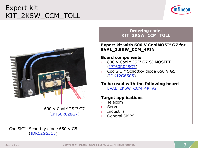## Expert kit KIT\_2K5W\_CCM\_TOLL





600 V CoolMOS™ G7 ([IPT60R028G7\)](https://www.infineon.com/cms/de/product/power/mosfet/500v-900v-coolmos-n-channel-power-mosfet/600v-coolmos-n-channel-power-mosfet/ipt60r028g7/)

#### CoolSiC™ Schottky diode 650 V G5 [\(IDK12G65C5\)](https://www.infineon.com/cms/de/product/power/silicon-carbide-sic/coolsic-schottky-diode/idk12g65c5/)

#### **Ordering code: KIT\_2K5W\_CCM\_TOLL**

#### **Expert kit with 600 V CoolMOS™ G7 for EVAL\_2.5KW\_CCM\_4PIN**

#### **Board components**

- › 600 V CoolMOS™ G7 SJ MOSFET [\(IPT60R028G7](https://www.infineon.com/cms/de/product/power/mosfet/500v-900v-coolmos-n-channel-power-mosfet/600v-coolmos-n-channel-power-mosfet/ipt60r028g7/))
- › CoolSiC™ Schottky diode 650 V G5 [\(IDK12G65C5\)](https://www.infineon.com/cms/de/product/power/silicon-carbide-sic/coolsic-schottky-diode/idk12g65c5/)

### **To be used with the following board**

› [EVAL\\_2K5W\\_CCM\\_4P\\_V2](https://www.infineon.com/cms/de/product/evaluation-boards/EVAL_2K5W_CCM_4P_V2/productType.html?productType=5546d4625c167129015c1b8a04a665db)

#### **Target applications**

- › Telecom
- › Server
- › Industrial
- › General SMPS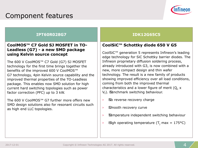### Component features



#### **IPT60R028G7**

#### **CoolMOS™ C7 Gold SJ MOSFET in TO-Leadless (G7) - a new SMD package using Kelvin source concept**

The 600 V CoolMOS™ C7 Gold (G7) SJ MOSFET technology for the first time brings together the benefits of the improved 600 V CoolMOS™ G7 technology, 4pin Kelvin source capability and the improved thermal properties of the TO-Leadless package. This enables now SMD solution for high current hard switching topologies such as power factor correction (PFC) up to 3 kW.

The 600 V CoolMOS™ G7 further more offers new SMD design solutions also for resonant circuits such as high end LLC topologies.

#### **IDK12G65C5**

### **CoolSiC™ Schottky diode 650 V G5**

CoolSiC™ generation 5 represents Infineon's leading edge technology for SiC Schottky barrier diodes. The Infineon proprietary diffusion soldering process, already introduced with G3, is now combined with a new, more compact design and thin wafer technology. The result is a new family of products showing improved efficiency over all load conditions, coming from both the improved thermal characteristics and a lower figure of merit  $(Q_c x)$ V<sub>f</sub>). Benchmark switching behaviour.

- > No reverse recovery charge
- > Smooth recovery curve
- › "Temperature independent switching behaviour
- $\frac{1}{2}$  High operating temperature (T<sub>i</sub> max = 175°C)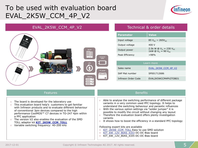### To be used with evaluation board EVAL\_2K5W\_CCM\_4P\_V2



#### EVAL\_2K5W\_CCM\_4P\_V2



#### Technical & order details

| <b>Parameter</b> | <b>Value</b>                                                     |
|------------------|------------------------------------------------------------------|
| Input voltage    | 85 $V_{AC}$ ~ 265 $V_{AC}$                                       |
| Output voltage   | 400 V                                                            |
| Output power     | 2.5k W @ $V_{in}$ = 230 $V_{AC}$<br>1kW @ $V_{in}$ = 90 $V_{AC}$ |
| Peak Efficiency  | >98%                                                             |

| Learn more          |                      |  |
|---------------------|----------------------|--|
| Sales name          | EVAL 2K5W CCM 4P V2  |  |
| SAP Mat number      | SP001712686          |  |
| Infineon Order Code | EVAL2K5WCCM4PV2TOBO1 |  |

- $\rightarrow$  The board is developed for the laboratory use
- This evaluation board help's customers to get familiar with Infineon products and to evaluate different behaviour of conventional 3pin devices compared to the high performance CoolMOS™ C7 devices in TO-247 4pin within a PFC application
- $\rightarrow$  The version V2 also enables the evaluation of the SMD TOLL adaptor kit **[KIT\\_2K5W\\_CCM\\_TOLL](http://www.infineon.com/KIT_2K5W_CCM_TOLL)**
- › Variable switching frequency: 40-200 kHz

#### **Features Benefits**

- $\rightarrow$  Able to analyse the switching performance of different package variants in a very common used PFC topology. It helps to understand the switching behaviour and parasitic influences
- $\rightarrow$  With the various option settings via "solder jumper" it is possible to modify the circuit without changing any layout
- $\rightarrow$  Therefore the evaluation board offers plenty investigation variants
- $\rightarrow$  It shows how to boost the efficiency in a standard PFC topology

Following expert kits are available

- › [KIT\\_2K5W\\_CCM\\_TOLL](https://www.infineon.com/cms/de/product/evaluation-boards/KIT_2K5W_CCM_TOLL/productType.html?productType=5546d4625c167129015c1ae5443c6442) Easy to use SMD solution
- › [KIT\\_6W\\_12V\\_BIAS\\_ICE3](https://www.infineon.com/cms/en/product/evaluation-boards/kit_6w_12v_bias_ice3/) DC-DC Bias board
- › KIT\_6W\_12V\_BIAS\_ICE5 DC-DC Bias board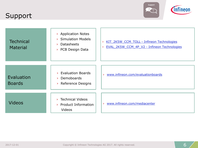### Support



| <b>Technical</b><br>Material | > Application Notes<br><b>Simulation Models</b><br>×.<br><b>Datasheets</b><br>У<br>PCB Design Data<br>× | KIT 2K5W CCM TOLL - Infineon Technologies<br>$\mathcal{P}$<br>EVAL 2K5W CCM 4P V2 - Infineon Technologies |
|------------------------------|---------------------------------------------------------------------------------------------------------|-----------------------------------------------------------------------------------------------------------|
| Evaluation<br><b>Boards</b>  | <b>Evaluation Boards</b><br>У<br>Demoboards<br>У<br><b>Reference Designs</b><br>×.                      | www.infineon.com/evaluationboards<br>×                                                                    |
| <b>Videos</b>                | <b>Technical Videos</b><br>Х<br>Product Information<br>×.<br>Videos                                     | www.infineon.com/mediacenter<br>$\mathbf{v}$                                                              |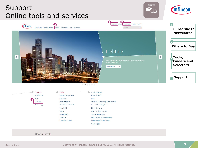

**Transistor & Diode** 

News & Tweets

Sensor

Interface

**Smart Card IC** 

2017-12-01 Copyright © Infineon Technologies AG 2017. All rights reserved.

LED Driver | Lighting ICs

High Power Thyristors & Diodes

Motor Control & Gate Driver

Silicon Carbide (SiC)

AC-DC Supply